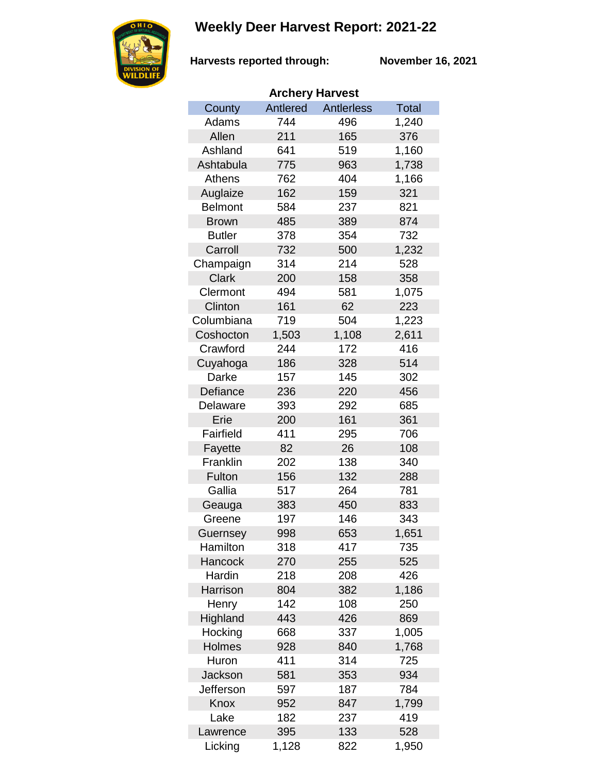## **Weekly Deer Harvest Report: 2021-22**



**Harvests reported through:** 

**November 16, 2021**

| <b>Archery Harvest</b> |          |                   |              |  |  |
|------------------------|----------|-------------------|--------------|--|--|
| County                 | Antlered | <b>Antlerless</b> | <b>Total</b> |  |  |
| Adams                  | 744      | 496               | 1,240        |  |  |
| Allen                  | 211      | 165               | 376          |  |  |
| Ashland                | 641      | 519               | 1,160        |  |  |
| Ashtabula              | 775      | 963               | 1,738        |  |  |
| Athens                 | 762      | 404               | 1,166        |  |  |
| Auglaize               | 162      | 159               | 321          |  |  |
| <b>Belmont</b>         | 584      | 237               | 821          |  |  |
| <b>Brown</b>           | 485      | 389               | 874          |  |  |
| <b>Butler</b>          | 378      | 354               | 732          |  |  |
| Carroll                | 732      | 500               | 1,232        |  |  |
| Champaign              | 314      | 214               | 528          |  |  |
| <b>Clark</b>           | 200      | 158               | 358          |  |  |
| Clermont               | 494      | 581               | 1,075        |  |  |
| Clinton                | 161      | 62                | 223          |  |  |
| Columbiana             | 719      | 504               | 1,223        |  |  |
| Coshocton              | 1,503    | 1,108             | 2,611        |  |  |
| Crawford               | 244      | 172               | 416          |  |  |
| Cuyahoga               | 186      | 328               | 514          |  |  |
| Darke                  | 157      | 145               | 302          |  |  |
| Defiance               | 236      | 220               | 456          |  |  |
| Delaware               | 393      | 292               | 685          |  |  |
| Erie                   | 200      | 161               | 361          |  |  |
| Fairfield              | 411      | 295               | 706          |  |  |
| Fayette                | 82       | 26                | 108          |  |  |
| Franklin               | 202      | 138               | 340          |  |  |
| Fulton                 | 156      | 132               | 288          |  |  |
| Gallia                 | 517      | 264               | 781          |  |  |
| Geauga                 | 383      | 450               | 833          |  |  |
| Greene                 | 197      | 146               | 343          |  |  |
| Guernsey               | 998      | 653               | 1,651        |  |  |
| Hamilton               | 318      | 417               | 735          |  |  |
| Hancock                | 270      | 255               | 525          |  |  |
| Hardin                 | 218      | 208               | 426          |  |  |
| Harrison               | 804      | 382               | 1,186        |  |  |
| Henry                  | 142      | 108               | 250          |  |  |
| Highland               | 443      | 426               | 869          |  |  |
| Hocking                | 668      | 337               | 1,005        |  |  |
| Holmes                 | 928      | 840               | 1,768        |  |  |
| Huron                  | 411      | 314               | 725          |  |  |
| <b>Jackson</b>         | 581      | 353               | 934          |  |  |
| Jefferson              | 597      | 187               | 784          |  |  |
| Knox                   | 952      | 847               | 1,799        |  |  |
| Lake                   | 182      | 237               | 419          |  |  |
| Lawrence               | 395      | 133               | 528          |  |  |
| Licking                | 1,128    | 822               | 1,950        |  |  |